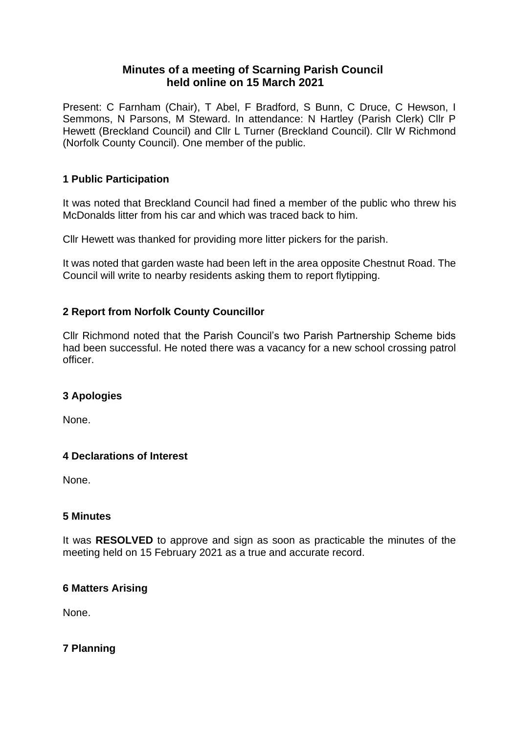# **Minutes of a meeting of Scarning Parish Council held online on 15 March 2021**

Present: C Farnham (Chair), T Abel, F Bradford, S Bunn, C Druce, C Hewson, I Semmons, N Parsons, M Steward. In attendance: N Hartley (Parish Clerk) Cllr P Hewett (Breckland Council) and Cllr L Turner (Breckland Council). Cllr W Richmond (Norfolk County Council). One member of the public.

# **1 Public Participation**

It was noted that Breckland Council had fined a member of the public who threw his McDonalds litter from his car and which was traced back to him.

Cllr Hewett was thanked for providing more litter pickers for the parish.

It was noted that garden waste had been left in the area opposite Chestnut Road. The Council will write to nearby residents asking them to report flytipping.

# **2 Report from Norfolk County Councillor**

Cllr Richmond noted that the Parish Council's two Parish Partnership Scheme bids had been successful. He noted there was a vacancy for a new school crossing patrol officer.

# **3 Apologies**

None.

# **4 Declarations of Interest**

None.

# **5 Minutes**

It was **RESOLVED** to approve and sign as soon as practicable the minutes of the meeting held on 15 February 2021 as a true and accurate record.

# **6 Matters Arising**

None.

# **7 Planning**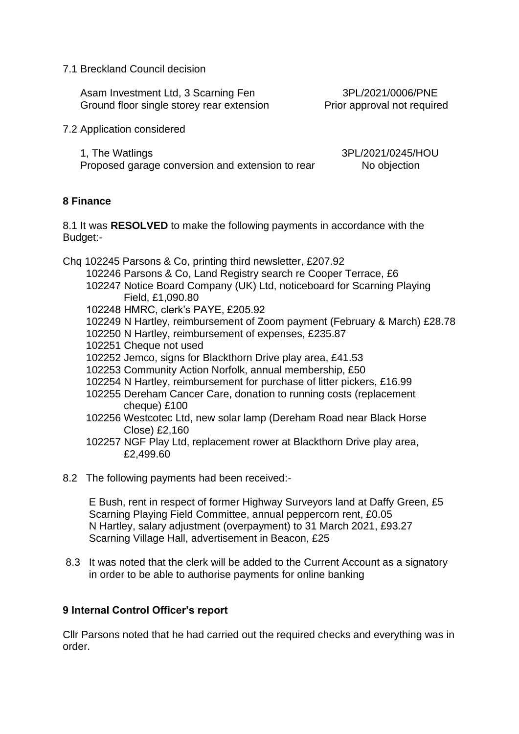7.1 Breckland Council decision

 Asam Investment Ltd, 3 Scarning Fen 3PL/2021/0006/PNE Ground floor single storey rear extension Prior approval not required

7.2 Application considered

 1, The Watlings 3PL/2021/0245/HOU Proposed garage conversion and extension to rear No objection

## **8 Finance**

8.1 It was **RESOLVED** to make the following payments in accordance with the Budget:-

Chq 102245 Parsons & Co, printing third newsletter, £207.92

- 102246 Parsons & Co, Land Registry search re Cooper Terrace, £6
- 102247 Notice Board Company (UK) Ltd, noticeboard for Scarning Playing Field, £1,090.80
- 102248 HMRC, clerk's PAYE, £205.92
- 102249 N Hartley, reimbursement of Zoom payment (February & March) £28.78
- 102250 N Hartley, reimbursement of expenses, £235.87
- 102251 Cheque not used
- 102252 Jemco, signs for Blackthorn Drive play area, £41.53
- 102253 Community Action Norfolk, annual membership, £50
- 102254 N Hartley, reimbursement for purchase of litter pickers, £16.99
- 102255 Dereham Cancer Care, donation to running costs (replacement cheque) £100
- 102256 Westcotec Ltd, new solar lamp (Dereham Road near Black Horse Close) £2,160
- 102257 NGF Play Ltd, replacement rower at Blackthorn Drive play area, £2,499.60
- 8.2 The following payments had been received:-

 E Bush, rent in respect of former Highway Surveyors land at Daffy Green, £5 Scarning Playing Field Committee, annual peppercorn rent, £0.05 N Hartley, salary adjustment (overpayment) to 31 March 2021, £93.27 Scarning Village Hall, advertisement in Beacon, £25

8.3 It was noted that the clerk will be added to the Current Account as a signatory in order to be able to authorise payments for online banking

### **9 Internal Control Officer's report**

Cllr Parsons noted that he had carried out the required checks and everything was in order.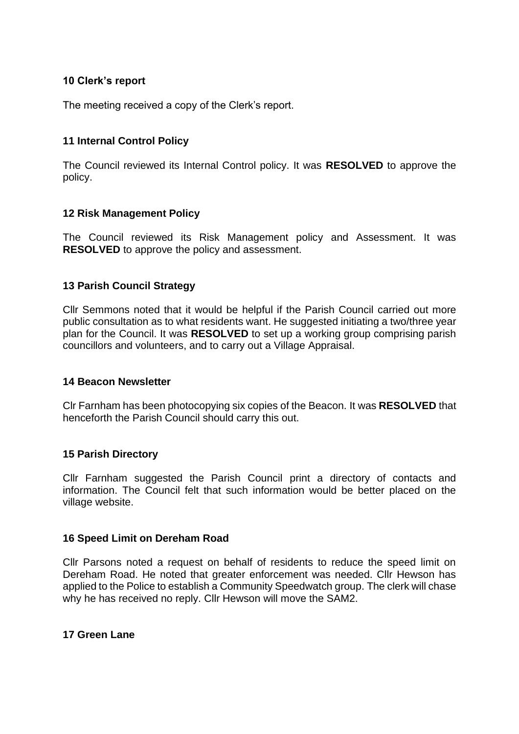### **10 Clerk's report**

The meeting received a copy of the Clerk's report.

## **11 Internal Control Policy**

The Council reviewed its Internal Control policy. It was **RESOLVED** to approve the policy.

### **12 Risk Management Policy**

The Council reviewed its Risk Management policy and Assessment. It was **RESOLVED** to approve the policy and assessment.

### **13 Parish Council Strategy**

Cllr Semmons noted that it would be helpful if the Parish Council carried out more public consultation as to what residents want. He suggested initiating a two/three year plan for the Council. It was **RESOLVED** to set up a working group comprising parish councillors and volunteers, and to carry out a Village Appraisal.

#### **14 Beacon Newsletter**

Clr Farnham has been photocopying six copies of the Beacon. It was **RESOLVED** that henceforth the Parish Council should carry this out.

### **15 Parish Directory**

Cllr Farnham suggested the Parish Council print a directory of contacts and information. The Council felt that such information would be better placed on the village website.

### **16 Speed Limit on Dereham Road**

Cllr Parsons noted a request on behalf of residents to reduce the speed limit on Dereham Road. He noted that greater enforcement was needed. Cllr Hewson has applied to the Police to establish a Community Speedwatch group. The clerk will chase why he has received no reply. Cllr Hewson will move the SAM2.

#### **17 Green Lane**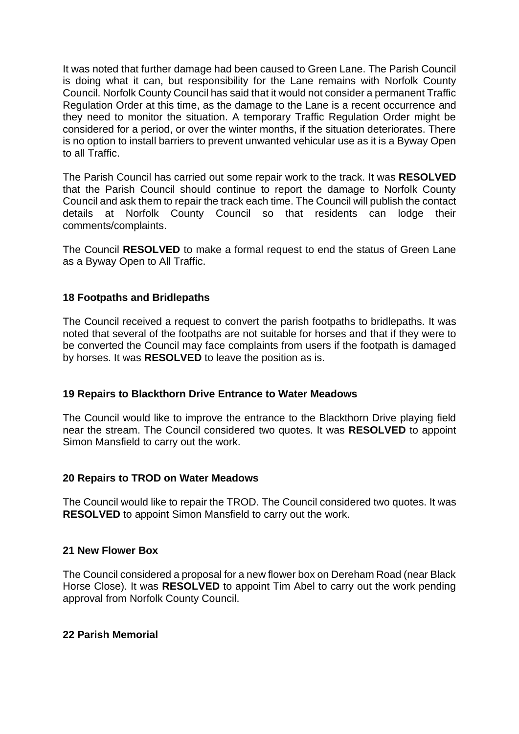It was noted that further damage had been caused to Green Lane. The Parish Council is doing what it can, but responsibility for the Lane remains with Norfolk County Council. Norfolk County Council has said that it would not consider a permanent Traffic Regulation Order at this time, as the damage to the Lane is a recent occurrence and they need to monitor the situation. A temporary Traffic Regulation Order might be considered for a period, or over the winter months, if the situation deteriorates. There is no option to install barriers to prevent unwanted vehicular use as it is a Byway Open to all Traffic.

The Parish Council has carried out some repair work to the track. It was **RESOLVED**  that the Parish Council should continue to report the damage to Norfolk County Council and ask them to repair the track each time. The Council will publish the contact details at Norfolk County Council so that residents can lodge their comments/complaints.

The Council **RESOLVED** to make a formal request to end the status of Green Lane as a Byway Open to All Traffic.

### **18 Footpaths and Bridlepaths**

The Council received a request to convert the parish footpaths to bridlepaths. It was noted that several of the footpaths are not suitable for horses and that if they were to be converted the Council may face complaints from users if the footpath is damaged by horses. It was **RESOLVED** to leave the position as is.

### **19 Repairs to Blackthorn Drive Entrance to Water Meadows**

The Council would like to improve the entrance to the Blackthorn Drive playing field near the stream. The Council considered two quotes. It was **RESOLVED** to appoint Simon Mansfield to carry out the work.

### **20 Repairs to TROD on Water Meadows**

The Council would like to repair the TROD. The Council considered two quotes. It was **RESOLVED** to appoint Simon Mansfield to carry out the work.

#### **21 New Flower Box**

The Council considered a proposal for a new flower box on Dereham Road (near Black Horse Close). It was **RESOLVED** to appoint Tim Abel to carry out the work pending approval from Norfolk County Council.

#### **22 Parish Memorial**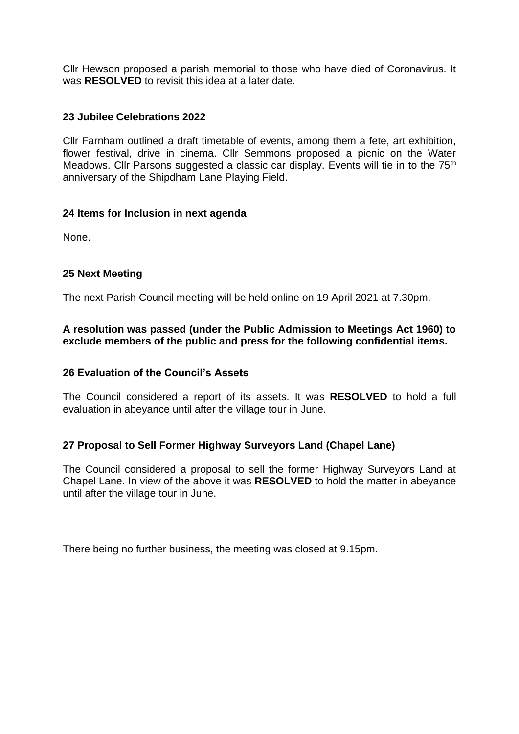Cllr Hewson proposed a parish memorial to those who have died of Coronavirus. It was **RESOLVED** to revisit this idea at a later date.

### **23 Jubilee Celebrations 2022**

Cllr Farnham outlined a draft timetable of events, among them a fete, art exhibition, flower festival, drive in cinema. Cllr Semmons proposed a picnic on the Water Meadows. Cllr Parsons suggested a classic car display. Events will tie in to the 75<sup>th</sup> anniversary of the Shipdham Lane Playing Field.

### **24 Items for Inclusion in next agenda**

None.

# **25 Next Meeting**

The next Parish Council meeting will be held online on 19 April 2021 at 7.30pm.

## **A resolution was passed (under the Public Admission to Meetings Act 1960) to exclude members of the public and press for the following confidential items.**

## **26 Evaluation of the Council's Assets**

The Council considered a report of its assets. It was **RESOLVED** to hold a full evaluation in abeyance until after the village tour in June.

# **27 Proposal to Sell Former Highway Surveyors Land (Chapel Lane)**

The Council considered a proposal to sell the former Highway Surveyors Land at Chapel Lane. In view of the above it was **RESOLVED** to hold the matter in abeyance until after the village tour in June.

There being no further business, the meeting was closed at 9.15pm.